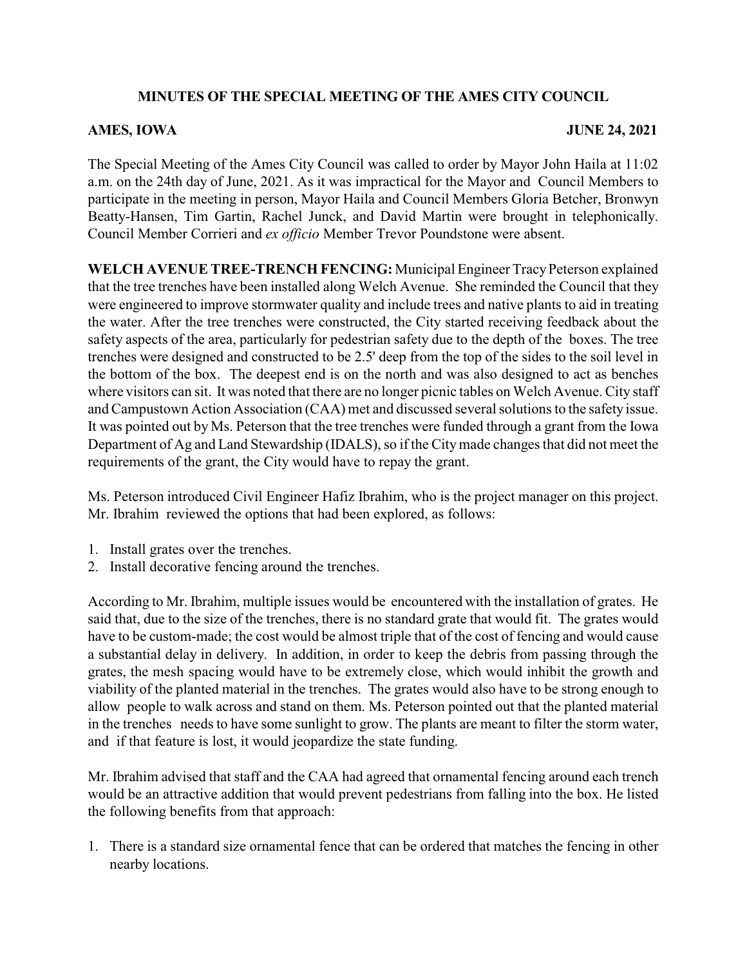## **MINUTES OF THE SPECIAL MEETING OF THE AMES CITY COUNCIL**

## **AMES, IOWA JUNE 24, 2021**

The Special Meeting of the Ames City Council was called to order by Mayor John Haila at 11:02 a.m. on the 24th day of June, 2021. As it was impractical for the Mayor and Council Members to participate in the meeting in person, Mayor Haila and Council Members Gloria Betcher, Bronwyn Beatty-Hansen, Tim Gartin, Rachel Junck, and David Martin were brought in telephonically. Council Member Corrieri and *ex officio* Member Trevor Poundstone were absent.

**WELCH AVENUE TREE-TRENCH FENCING:** Municipal Engineer TracyPeterson explained that the tree trenches have been installed along Welch Avenue. She reminded the Council that they were engineered to improve stormwater quality and include trees and native plants to aid in treating the water. After the tree trenches were constructed, the City started receiving feedback about the safety aspects of the area, particularly for pedestrian safety due to the depth of the boxes. The tree trenches were designed and constructed to be 2.5' deep from the top of the sides to the soil level in the bottom of the box. The deepest end is on the north and was also designed to act as benches where visitors can sit. It was noted that there are no longer picnic tables on Welch Avenue. City staff and Campustown Action Association (CAA) met and discussed several solutions to the safety issue. It was pointed out by Ms. Peterson that the tree trenches were funded through a grant from the Iowa Department of Ag and Land Stewardship (IDALS), so if the City made changes that did not meet the requirements of the grant, the City would have to repay the grant.

Ms. Peterson introduced Civil Engineer Hafiz Ibrahim, who is the project manager on this project. Mr. Ibrahim reviewed the options that had been explored, as follows:

- 1. Install grates over the trenches.
- 2. Install decorative fencing around the trenches.

According to Mr. Ibrahim, multiple issues would be encountered with the installation of grates. He said that, due to the size of the trenches, there is no standard grate that would fit. The grates would have to be custom-made; the cost would be almost triple that of the cost of fencing and would cause a substantial delay in delivery. In addition, in order to keep the debris from passing through the grates, the mesh spacing would have to be extremely close, which would inhibit the growth and viability of the planted material in the trenches. The grates would also have to be strong enough to allow people to walk across and stand on them. Ms. Peterson pointed out that the planted material in the trenches needs to have some sunlight to grow. The plants are meant to filter the storm water, and if that feature is lost, it would jeopardize the state funding.

Mr. Ibrahim advised that staff and the CAA had agreed that ornamental fencing around each trench would be an attractive addition that would prevent pedestrians from falling into the box. He listed the following benefits from that approach:

1. There is a standard size ornamental fence that can be ordered that matches the fencing in other nearby locations.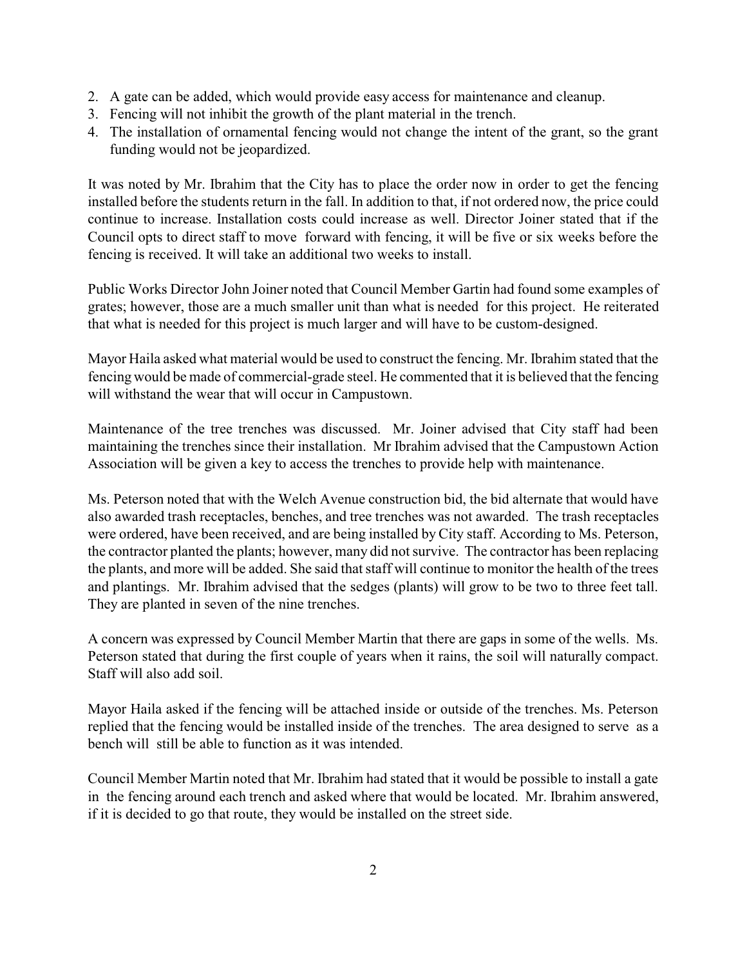- 2. A gate can be added, which would provide easy access for maintenance and cleanup.
- 3. Fencing will not inhibit the growth of the plant material in the trench.
- 4. The installation of ornamental fencing would not change the intent of the grant, so the grant funding would not be jeopardized.

It was noted by Mr. Ibrahim that the City has to place the order now in order to get the fencing installed before the students return in the fall. In addition to that, if not ordered now, the price could continue to increase. Installation costs could increase as well. Director Joiner stated that if the Council opts to direct staff to move forward with fencing, it will be five or six weeks before the fencing is received. It will take an additional two weeks to install.

Public Works Director John Joiner noted that Council Member Gartin had found some examples of grates; however, those are a much smaller unit than what is needed for this project. He reiterated that what is needed for this project is much larger and will have to be custom-designed.

Mayor Haila asked what material would be used to construct the fencing. Mr. Ibrahim stated that the fencing would be made of commercial-grade steel. He commented that it is believed that the fencing will withstand the wear that will occur in Campustown.

Maintenance of the tree trenches was discussed. Mr. Joiner advised that City staff had been maintaining the trenches since their installation. Mr Ibrahim advised that the Campustown Action Association will be given a key to access the trenches to provide help with maintenance.

Ms. Peterson noted that with the Welch Avenue construction bid, the bid alternate that would have also awarded trash receptacles, benches, and tree trenches was not awarded. The trash receptacles were ordered, have been received, and are being installed by City staff. According to Ms. Peterson, the contractor planted the plants; however, many did not survive. The contractor has been replacing the plants, and more will be added. She said that staff will continue to monitor the health of the trees and plantings. Mr. Ibrahim advised that the sedges (plants) will grow to be two to three feet tall. They are planted in seven of the nine trenches.

A concern was expressed by Council Member Martin that there are gaps in some of the wells. Ms. Peterson stated that during the first couple of years when it rains, the soil will naturally compact. Staff will also add soil.

Mayor Haila asked if the fencing will be attached inside or outside of the trenches. Ms. Peterson replied that the fencing would be installed inside of the trenches. The area designed to serve as a bench will still be able to function as it was intended.

Council Member Martin noted that Mr. Ibrahim had stated that it would be possible to install a gate in the fencing around each trench and asked where that would be located. Mr. Ibrahim answered, if it is decided to go that route, they would be installed on the street side.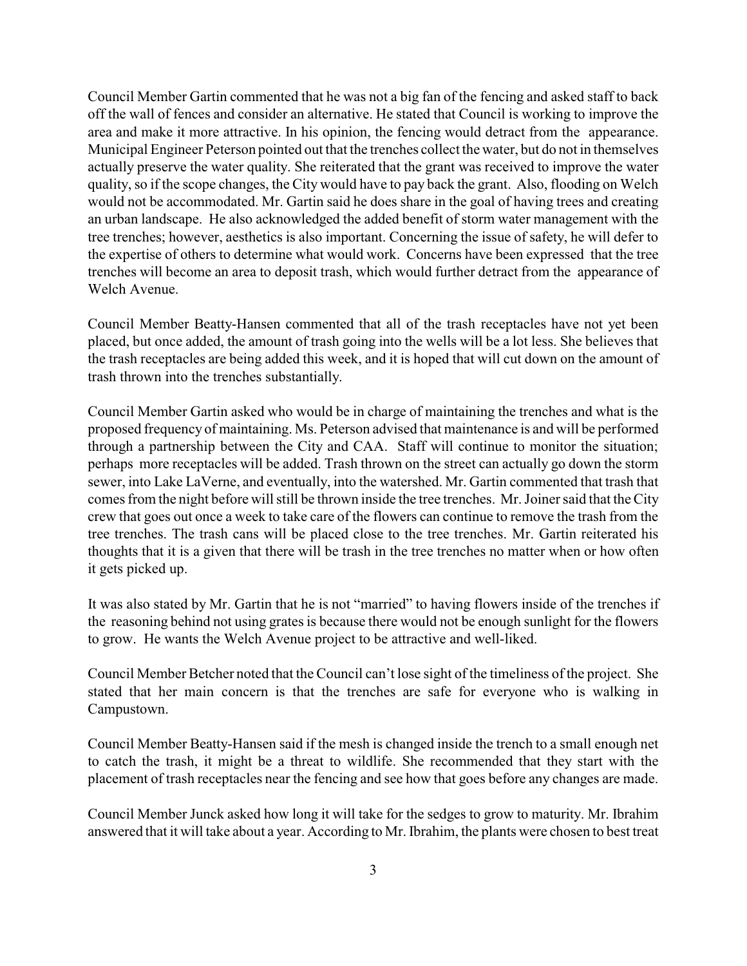Council Member Gartin commented that he was not a big fan of the fencing and asked staff to back off the wall of fences and consider an alternative. He stated that Council is working to improve the area and make it more attractive. In his opinion, the fencing would detract from the appearance. Municipal Engineer Peterson pointed out that the trenches collect the water, but do not in themselves actually preserve the water quality. She reiterated that the grant was received to improve the water quality, so if the scope changes, the City would have to pay back the grant. Also, flooding on Welch would not be accommodated. Mr. Gartin said he does share in the goal of having trees and creating an urban landscape. He also acknowledged the added benefit of storm water management with the tree trenches; however, aesthetics is also important. Concerning the issue of safety, he will defer to the expertise of others to determine what would work. Concerns have been expressed that the tree trenches will become an area to deposit trash, which would further detract from the appearance of Welch Avenue.

Council Member Beatty-Hansen commented that all of the trash receptacles have not yet been placed, but once added, the amount of trash going into the wells will be a lot less. She believes that the trash receptacles are being added this week, and it is hoped that will cut down on the amount of trash thrown into the trenches substantially.

Council Member Gartin asked who would be in charge of maintaining the trenches and what is the proposed frequency of maintaining. Ms. Peterson advised that maintenance is and will be performed through a partnership between the City and CAA. Staff will continue to monitor the situation; perhaps more receptacles will be added. Trash thrown on the street can actually go down the storm sewer, into Lake LaVerne, and eventually, into the watershed. Mr. Gartin commented that trash that comes from the night before will still be thrown inside the tree trenches. Mr. Joiner said that the City crew that goes out once a week to take care of the flowers can continue to remove the trash from the tree trenches. The trash cans will be placed close to the tree trenches. Mr. Gartin reiterated his thoughts that it is a given that there will be trash in the tree trenches no matter when or how often it gets picked up.

It was also stated by Mr. Gartin that he is not "married" to having flowers inside of the trenches if the reasoning behind not using grates is because there would not be enough sunlight for the flowers to grow. He wants the Welch Avenue project to be attractive and well-liked.

Council Member Betcher noted that the Council can't lose sight of the timeliness of the project. She stated that her main concern is that the trenches are safe for everyone who is walking in Campustown.

Council Member Beatty-Hansen said if the mesh is changed inside the trench to a small enough net to catch the trash, it might be a threat to wildlife. She recommended that they start with the placement of trash receptacles near the fencing and see how that goes before any changes are made.

Council Member Junck asked how long it will take for the sedges to grow to maturity. Mr. Ibrahim answered that it will take about a year. According to Mr. Ibrahim, the plants were chosen to best treat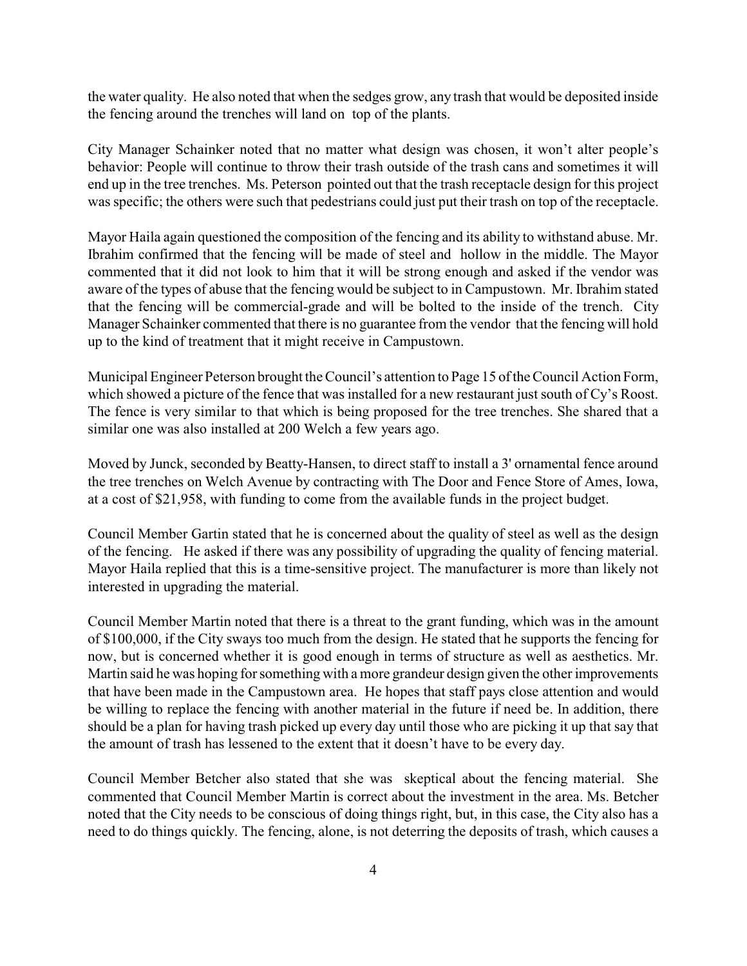the water quality. He also noted that when the sedges grow, any trash that would be deposited inside the fencing around the trenches will land on top of the plants.

City Manager Schainker noted that no matter what design was chosen, it won't alter people's behavior: People will continue to throw their trash outside of the trash cans and sometimes it will end up in the tree trenches. Ms. Peterson pointed out that the trash receptacle design for this project was specific; the others were such that pedestrians could just put their trash on top of the receptacle.

Mayor Haila again questioned the composition of the fencing and its ability to withstand abuse. Mr. Ibrahim confirmed that the fencing will be made of steel and hollow in the middle. The Mayor commented that it did not look to him that it will be strong enough and asked if the vendor was aware of the types of abuse that the fencing would be subject to in Campustown. Mr. Ibrahim stated that the fencing will be commercial-grade and will be bolted to the inside of the trench. City Manager Schainker commented that there is no guarantee from the vendor that the fencing will hold up to the kind of treatment that it might receive in Campustown.

Municipal Engineer Peterson brought the Council's attention to Page 15 ofthe Council Action Form, which showed a picture of the fence that was installed for a new restaurant just south of Cy's Roost. The fence is very similar to that which is being proposed for the tree trenches. She shared that a similar one was also installed at 200 Welch a few years ago.

Moved by Junck, seconded by Beatty-Hansen, to direct staff to install a 3' ornamental fence around the tree trenches on Welch Avenue by contracting with The Door and Fence Store of Ames, Iowa, at a cost of \$21,958, with funding to come from the available funds in the project budget.

Council Member Gartin stated that he is concerned about the quality of steel as well as the design of the fencing. He asked if there was any possibility of upgrading the quality of fencing material. Mayor Haila replied that this is a time-sensitive project. The manufacturer is more than likely not interested in upgrading the material.

Council Member Martin noted that there is a threat to the grant funding, which was in the amount of \$100,000, if the City sways too much from the design. He stated that he supports the fencing for now, but is concerned whether it is good enough in terms of structure as well as aesthetics. Mr. Martin said he was hoping for something with a more grandeur design given the other improvements that have been made in the Campustown area. He hopes that staff pays close attention and would be willing to replace the fencing with another material in the future if need be. In addition, there should be a plan for having trash picked up every day until those who are picking it up that say that the amount of trash has lessened to the extent that it doesn't have to be every day.

Council Member Betcher also stated that she was skeptical about the fencing material. She commented that Council Member Martin is correct about the investment in the area. Ms. Betcher noted that the City needs to be conscious of doing things right, but, in this case, the City also has a need to do things quickly. The fencing, alone, is not deterring the deposits of trash, which causes a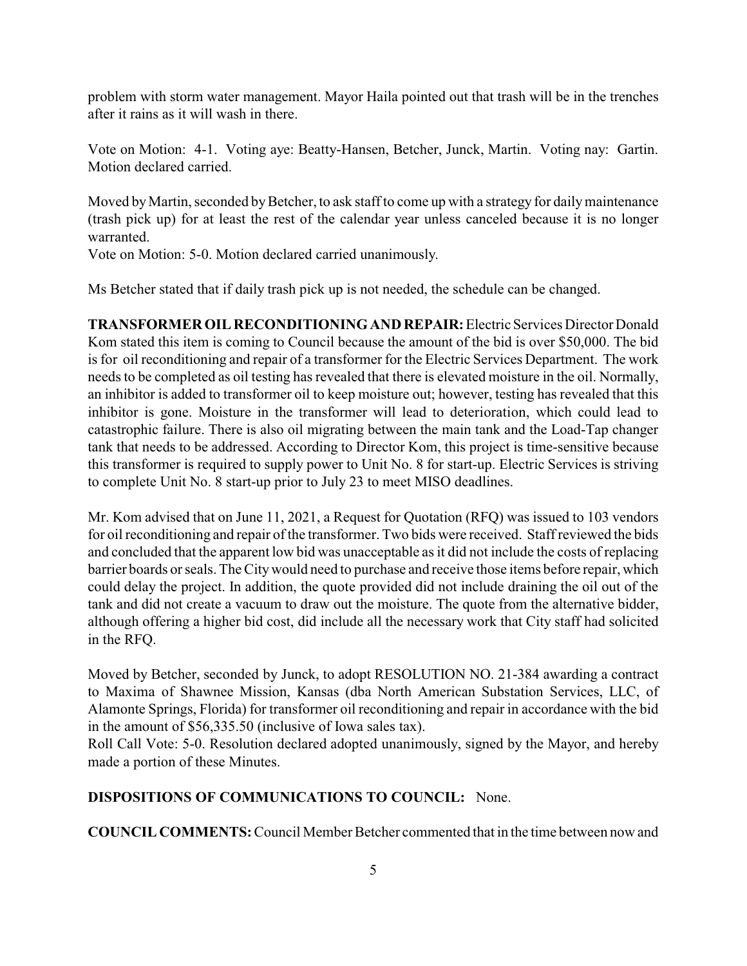problem with storm water management. Mayor Haila pointed out that trash will be in the trenches after it rains as it will wash in there.

Vote on Motion: 4-1. Voting aye: Beatty-Hansen, Betcher, Junck, Martin. Voting nay: Gartin. Motion declared carried.

Moved by Martin, seconded by Betcher, to ask staff to come up with a strategy for daily maintenance (trash pick up) for at least the rest of the calendar year unless canceled because it is no longer warranted.

Vote on Motion: 5-0. Motion declared carried unanimously.

Ms Betcher stated that if daily trash pick up is not needed, the schedule can be changed.

**TRANSFORMER OIL RECONDITIONINGAND REPAIR:**Electric Services Director Donald Kom stated this item is coming to Council because the amount of the bid is over \$50,000. The bid is for oil reconditioning and repair of a transformer for the Electric Services Department. The work needs to be completed as oil testing has revealed that there is elevated moisture in the oil. Normally, an inhibitor is added to transformer oil to keep moisture out; however, testing has revealed that this inhibitor is gone. Moisture in the transformer will lead to deterioration, which could lead to catastrophic failure. There is also oil migrating between the main tank and the Load-Tap changer tank that needs to be addressed. According to Director Kom, this project is time-sensitive because this transformer is required to supply power to Unit No. 8 for start-up. Electric Services is striving to complete Unit No. 8 start-up prior to July 23 to meet MISO deadlines.

Mr. Kom advised that on June 11, 2021, a Request for Quotation (RFQ) was issued to 103 vendors for oil reconditioning and repair of the transformer. Two bids were received. Staff reviewed the bids and concluded that the apparent low bid was unacceptable as it did not include the costs of replacing barrier boards or seals. The Citywould need to purchase and receive those items before repair, which could delay the project. In addition, the quote provided did not include draining the oil out of the tank and did not create a vacuum to draw out the moisture. The quote from the alternative bidder, although offering a higher bid cost, did include all the necessary work that City staff had solicited in the RFQ.

Moved by Betcher, seconded by Junck, to adopt RESOLUTION NO. 21-384 awarding a contract to Maxima of Shawnee Mission, Kansas (dba North American Substation Services, LLC, of Alamonte Springs, Florida) for transformer oil reconditioning and repair in accordance with the bid in the amount of \$56,335.50 (inclusive of Iowa sales tax).

Roll Call Vote: 5-0. Resolution declared adopted unanimously, signed by the Mayor, and hereby made a portion of these Minutes.

## **DISPOSITIONS OF COMMUNICATIONS TO COUNCIL:** None.

**COUNCIL COMMENTS:**Council Member Betcher commented that in the time between now and